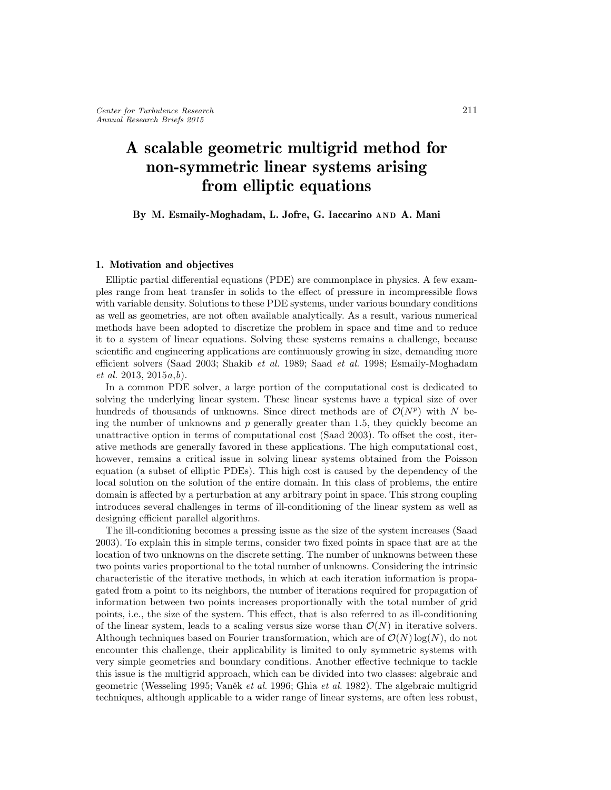# A scalable geometric multigrid method for non-symmetric linear systems arising from elliptic equations

## By M. Esmaily-Moghadam, L. Jofre, G. Iaccarino AND A. Mani

# 1. Motivation and objectives

Elliptic partial differential equations (PDE) are commonplace in physics. A few examples range from heat transfer in solids to the effect of pressure in incompressible flows with variable density. Solutions to these PDE systems, under various boundary conditions as well as geometries, are not often available analytically. As a result, various numerical methods have been adopted to discretize the problem in space and time and to reduce it to a system of linear equations. Solving these systems remains a challenge, because scientific and engineering applications are continuously growing in size, demanding more efficient solvers (Saad 2003; Shakib et al. 1989; Saad et al. 1998; Esmaily-Moghadam et al. 2013, 2015a,b).

In a common PDE solver, a large portion of the computational cost is dedicated to solving the underlying linear system. These linear systems have a typical size of over hundreds of thousands of unknowns. Since direct methods are of  $\mathcal{O}(N^p)$  with N being the number of unknowns and  $p$  generally greater than 1.5, they quickly become an unattractive option in terms of computational cost (Saad 2003). To offset the cost, iterative methods are generally favored in these applications. The high computational cost, however, remains a critical issue in solving linear systems obtained from the Poisson equation (a subset of elliptic PDEs). This high cost is caused by the dependency of the local solution on the solution of the entire domain. In this class of problems, the entire domain is affected by a perturbation at any arbitrary point in space. This strong coupling introduces several challenges in terms of ill-conditioning of the linear system as well as designing efficient parallel algorithms.

The ill-conditioning becomes a pressing issue as the size of the system increases (Saad 2003). To explain this in simple terms, consider two fixed points in space that are at the location of two unknowns on the discrete setting. The number of unknowns between these two points varies proportional to the total number of unknowns. Considering the intrinsic characteristic of the iterative methods, in which at each iteration information is propagated from a point to its neighbors, the number of iterations required for propagation of information between two points increases proportionally with the total number of grid points, i.e., the size of the system. This effect, that is also referred to as ill-conditioning of the linear system, leads to a scaling versus size worse than  $\mathcal{O}(N)$  in iterative solvers. Although techniques based on Fourier transformation, which are of  $\mathcal{O}(N) \log(N)$ , do not encounter this challenge, their applicability is limited to only symmetric systems with very simple geometries and boundary conditions. Another effective technique to tackle this issue is the multigrid approach, which can be divided into two classes: algebraic and geometric (Wesseling 1995; Vaněk et al. 1996; Ghia et al. 1982). The algebraic multigrid techniques, although applicable to a wider range of linear systems, are often less robust,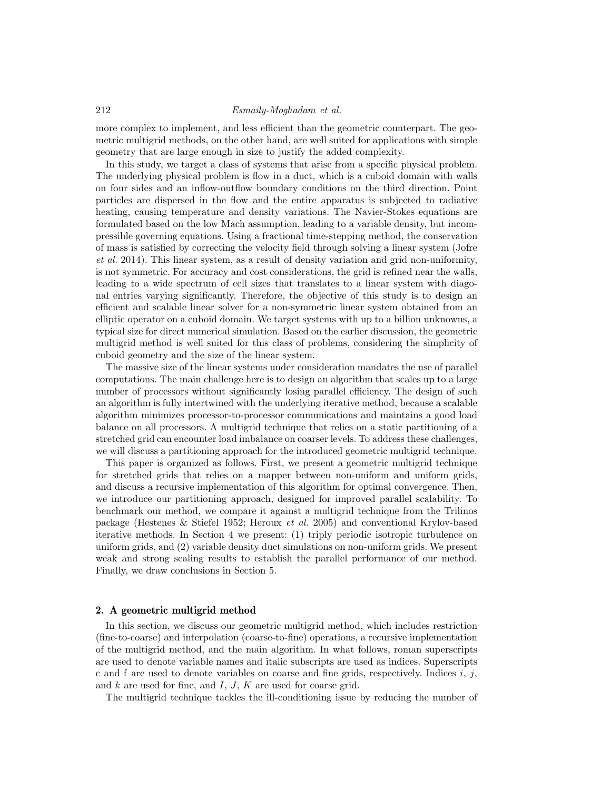#### 212 Esmaily-Moghadam et al.

more complex to implement, and less efficient than the geometric counterpart. The geometric multigrid methods, on the other hand, are well suited for applications with simple geometry that are large enough in size to justify the added complexity.

In this study, we target a class of systems that arise from a specific physical problem. The underlying physical problem is flow in a duct, which is a cuboid domain with walls on four sides and an inflow-outflow boundary conditions on the third direction. Point particles are dispersed in the flow and the entire apparatus is subjected to radiative heating, causing temperature and density variations. The Navier-Stokes equations are formulated based on the low Mach assumption, leading to a variable density, but incompressible governing equations. Using a fractional time-stepping method, the conservation of mass is satisfied by correcting the velocity field through solving a linear system (Jofre et al. 2014). This linear system, as a result of density variation and grid non-uniformity, is not symmetric. For accuracy and cost considerations, the grid is refined near the walls, leading to a wide spectrum of cell sizes that translates to a linear system with diagonal entries varying significantly. Therefore, the objective of this study is to design an efficient and scalable linear solver for a non-symmetric linear system obtained from an elliptic operator on a cuboid domain. We target systems with up to a billion unknowns, a typical size for direct numerical simulation. Based on the earlier discussion, the geometric multigrid method is well suited for this class of problems, considering the simplicity of cuboid geometry and the size of the linear system.

The massive size of the linear systems under consideration mandates the use of parallel computations. The main challenge here is to design an algorithm that scales up to a large number of processors without significantly losing parallel efficiency. The design of such an algorithm is fully intertwined with the underlying iterative method, because a scalable algorithm minimizes processor-to-processor communications and maintains a good load balance on all processors. A multigrid technique that relies on a static partitioning of a stretched grid can encounter load imbalance on coarser levels. To address these challenges, we will discuss a partitioning approach for the introduced geometric multigrid technique.

This paper is organized as follows. First, we present a geometric multigrid technique for stretched grids that relies on a mapper between non-uniform and uniform grids, and discuss a recursive implementation of this algorithm for optimal convergence. Then, we introduce our partitioning approach, designed for improved parallel scalability. To benchmark our method, we compare it against a multigrid technique from the Trilinos package (Hestenes & Stiefel 1952; Heroux et al. 2005) and conventional Krylov-based iterative methods. In Section 4 we present: (1) triply periodic isotropic turbulence on uniform grids, and (2) variable density duct simulations on non-uniform grids. We present weak and strong scaling results to establish the parallel performance of our method. Finally, we draw conclusions in Section 5.

#### 2. A geometric multigrid method

In this section, we discuss our geometric multigrid method, which includes restriction (fine-to-coarse) and interpolation (coarse-to-fine) operations, a recursive implementation of the multigrid method, and the main algorithm. In what follows, roman superscripts are used to denote variable names and italic subscripts are used as indices. Superscripts c and f are used to denote variables on coarse and fine grids, respectively. Indices  $i, j$ , and  $k$  are used for fine, and  $I, J, K$  are used for coarse grid.

The multigrid technique tackles the ill-conditioning issue by reducing the number of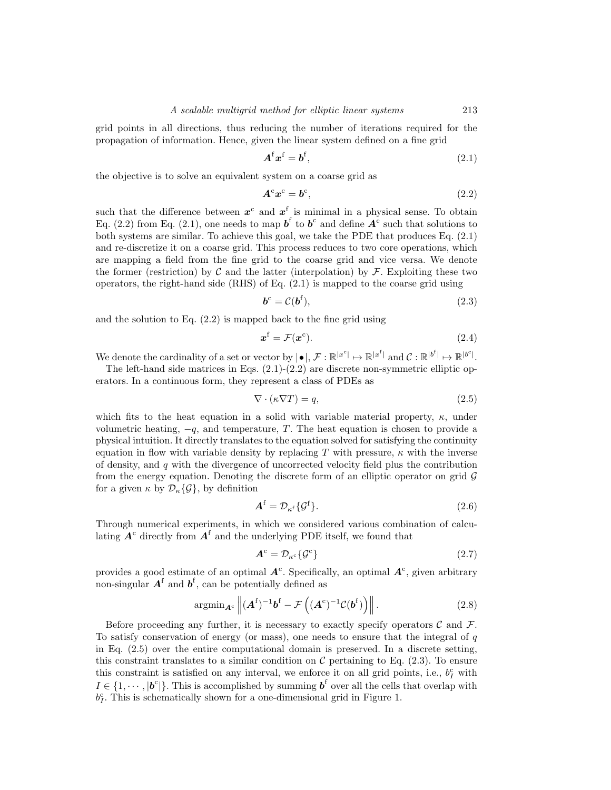grid points in all directions, thus reducing the number of iterations required for the propagation of information. Hence, given the linear system defined on a fine grid

$$
\mathbf{A}^{\mathrm{f}}\mathbf{x}^{\mathrm{f}} = \mathbf{b}^{\mathrm{f}},\tag{2.1}
$$

the objective is to solve an equivalent system on a coarse grid as

$$
A^c x^c = b^c,\t\t(2.2)
$$

such that the difference between  $x^c$  and  $x^f$  is minimal in a physical sense. To obtain Eq. (2.2) from Eq. (2.1), one needs to map  $\boldsymbol{b}^{\text{f}}$  to  $\boldsymbol{b}^{\text{c}}$  and define  $\boldsymbol{A}^{\text{c}}$  such that solutions to both systems are similar. To achieve this goal, we take the PDE that produces Eq. (2.1) and re-discretize it on a coarse grid. This process reduces to two core operations, which are mapping a field from the fine grid to the coarse grid and vice versa. We denote the former (restriction) by C and the latter (interpolation) by  $\mathcal F$ . Exploiting these two operators, the right-hand side (RHS) of Eq. (2.1) is mapped to the coarse grid using

$$
\boldsymbol{b}^{\mathrm{c}} = \mathcal{C}(\boldsymbol{b}^{\mathrm{f}}),\tag{2.3}
$$

and the solution to Eq. (2.2) is mapped back to the fine grid using

$$
\boldsymbol{x}^{\mathrm{f}} = \mathcal{F}(\boldsymbol{x}^{\mathrm{c}}). \tag{2.4}
$$

We denote the cardinality of a set or vector by  $|\bullet|, \mathcal{F} : \mathbb{R}^{|x^c|} \mapsto \mathbb{R}^{|x^f|}$  and  $\mathcal{C} : \mathbb{R}^{|b^f|} \mapsto \mathbb{R}^{|b^c|}$ .

The left-hand side matrices in Eqs.  $(2.1)-(2.2)$  are discrete non-symmetric elliptic operators. In a continuous form, they represent a class of PDEs as

$$
\nabla \cdot (\kappa \nabla T) = q,\tag{2.5}
$$

which fits to the heat equation in a solid with variable material property,  $\kappa$ , under volumetric heating,  $-q$ , and temperature, T. The heat equation is chosen to provide a physical intuition. It directly translates to the equation solved for satisfying the continuity equation in flow with variable density by replacing T with pressure,  $\kappa$  with the inverse of density, and  $q$  with the divergence of uncorrected velocity field plus the contribution from the energy equation. Denoting the discrete form of an elliptic operator on grid  $\mathcal G$ for a given  $\kappa$  by  $\mathcal{D}_{\kappa}\{\mathcal{G}\}\,$ , by definition

$$
\mathbf{A}^{\mathrm{f}} = \mathcal{D}_{\kappa^{\mathrm{f}}} \{ \mathcal{G}^{\mathrm{f}} \}. \tag{2.6}
$$

Through numerical experiments, in which we considered various combination of calculating  $A<sup>c</sup>$  directly from  $A<sup>f</sup>$  and the underlying PDE itself, we found that

$$
\mathbf{A}^{\mathrm{c}} = \mathcal{D}_{\kappa^{\mathrm{c}}} \{ \mathcal{G}^{\mathrm{c}} \} \tag{2.7}
$$

provides a good estimate of an optimal  $A<sup>c</sup>$ . Specifically, an optimal  $A<sup>c</sup>$ , given arbitrary non-singular  $A^f$  and  $b^f$ , can be potentially defined as

$$
\operatorname{argmin}_{\mathbf{A}^c} \left\| (\mathbf{A}^f)^{-1} \mathbf{b}^f - \mathcal{F}\left( (\mathbf{A}^c)^{-1} \mathcal{C}(\mathbf{b}^f) \right) \right\|.
$$
 (2.8)

Before proceeding any further, it is necessary to exactly specify operators  $\mathcal C$  and  $\mathcal F$ . To satisfy conservation of energy (or mass), one needs to ensure that the integral of  $q$ in Eq. (2.5) over the entire computational domain is preserved. In a discrete setting, this constraint translates to a similar condition on  $\mathcal C$  pertaining to Eq. (2.3). To ensure this constraint is satisfied on any interval, we enforce it on all grid points, i.e.,  $b<sub>I</sub><sup>c</sup>$  with  $I \in \{1, \dots, |\boldsymbol{b}^c|\}.$  This is accomplished by summing  $\boldsymbol{b}^f$  over all the cells that overlap with  $b_I^c$ . This is schematically shown for a one-dimensional grid in Figure 1.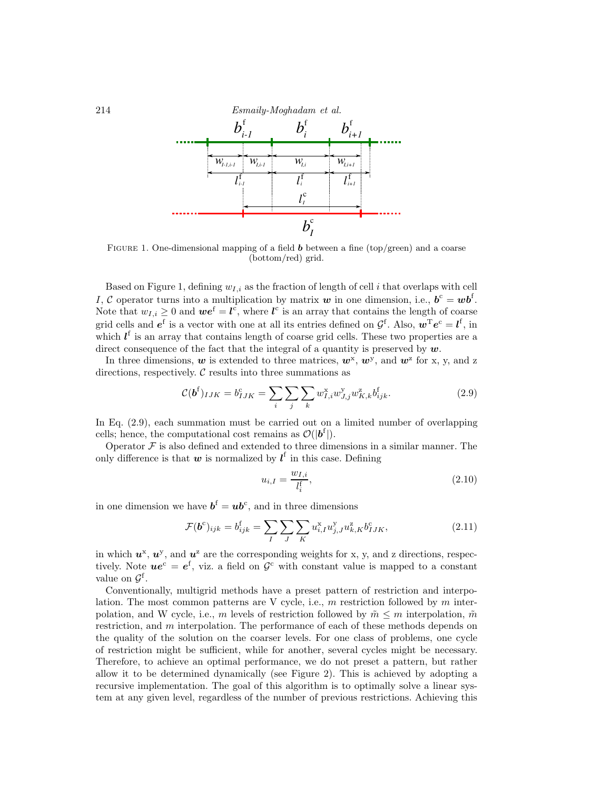

FIGURE 1. One-dimensional mapping of a field  $\boldsymbol{b}$  between a fine (top/green) and a coarse (bottom/red) grid.

Based on Figure 1, defining  $w_{i,i}$  as the fraction of length of cell i that overlaps with cell I, C operator turns into a multiplication by matrix w in one dimension, i.e.,  $b^c = w b^f$ . Note that  $w_{I,i} \geq 0$  and  $\boldsymbol{we}^{\text{f}} = \boldsymbol{l}^{\text{c}}$ , where  $\boldsymbol{l}^{\text{c}}$  is an array that contains the length of coarse grid cells and  $e^f$  is a vector with one at all its entries defined on  $\mathcal{G}^f$ . Also,  $\mathbf{w}^T e^c = l^f$ , in which  $l<sup>f</sup>$  is an array that contains length of coarse grid cells. These two properties are a direct consequence of the fact that the integral of a quantity is preserved by  $w$ .

In three dimensions, w is extended to three matrices,  $w^x$ ,  $w^y$ , and  $w^z$  for x, y, and z directions, respectively.  $C$  results into three summations as

$$
\mathcal{C}(\mathbf{b}^{\mathbf{f}})_{IJK} = b_{IJK}^{\mathbf{c}} = \sum_{i} \sum_{j} \sum_{k} w_{I,i}^{x} w_{J,j}^{y} w_{K,k}^{z} b_{ijk}^{\mathbf{f}}.
$$
 (2.9)

In Eq. (2.9), each summation must be carried out on a limited number of overlapping cells; hence, the computational cost remains as  $\mathcal{O}(|b^f|)$ .

Operator  $\mathcal F$  is also defined and extended to three dimensions in a similar manner. The only difference is that  $w$  is normalized by  $l^f$  in this case. Defining

$$
u_{i,I} = \frac{w_{I,i}}{l_i^t},\tag{2.10}
$$

in one dimension we have  $\boldsymbol{b}^{\mathrm{f}} = \boldsymbol{u} \boldsymbol{b}^{\mathrm{c}}$ , and in three dimensions

$$
\mathcal{F}(\boldsymbol{b}^c)_{ijk} = b_{ijk}^f = \sum_{I} \sum_{J} \sum_{K} u_{i,I}^x u_{j,J}^y u_{k,K}^z b_{IJK}^c,
$$
\n(2.11)

in which  $u^x$ ,  $u^y$ , and  $u^z$  are the corresponding weights for x, y, and z directions, respectively. Note  $u e^c = e^f$ , viz. a field on  $\mathcal{G}^c$  with constant value is mapped to a constant value on  $\mathcal{G}^{\text{f}}$ .

Conventionally, multigrid methods have a preset pattern of restriction and interpolation. The most common patterns are V cycle, i.e.,  $m$  restriction followed by  $m$  interpolation, and W cycle, i.e., m levels of restriction followed by  $\tilde{m} \leq m$  interpolation,  $\tilde{m}$ restriction, and  $m$  interpolation. The performance of each of these methods depends on the quality of the solution on the coarser levels. For one class of problems, one cycle of restriction might be sufficient, while for another, several cycles might be necessary. Therefore, to achieve an optimal performance, we do not preset a pattern, but rather allow it to be determined dynamically (see Figure 2). This is achieved by adopting a recursive implementation. The goal of this algorithm is to optimally solve a linear system at any given level, regardless of the number of previous restrictions. Achieving this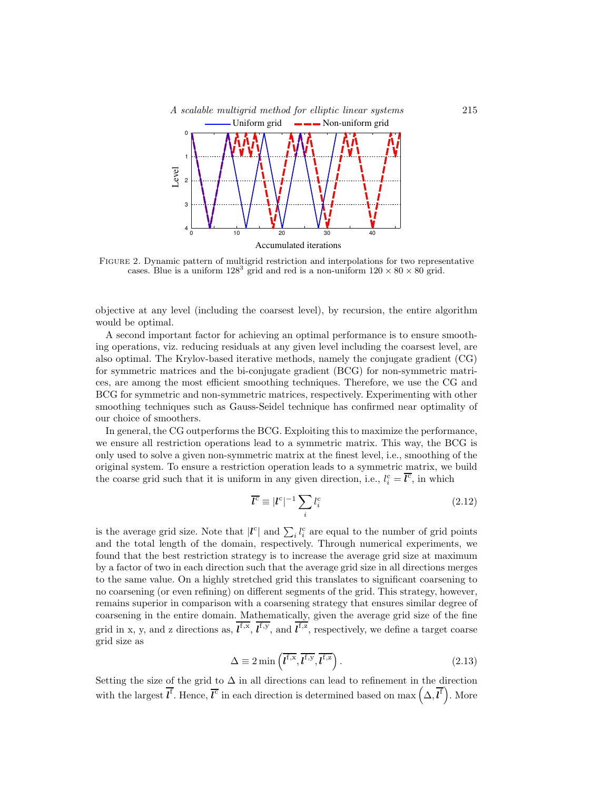

Figure 2. Dynamic pattern of multigrid restriction and interpolations for two representative cases. Blue is a uniform  $128^3$  grid and red is a non-uniform  $120 \times 80 \times 80$  grid.

objective at any level (including the coarsest level), by recursion, the entire algorithm would be optimal.

A second important factor for achieving an optimal performance is to ensure smoothing operations, viz. reducing residuals at any given level including the coarsest level, are also optimal. The Krylov-based iterative methods, namely the conjugate gradient (CG) for symmetric matrices and the bi-conjugate gradient (BCG) for non-symmetric matrices, are among the most efficient smoothing techniques. Therefore, we use the CG and BCG for symmetric and non-symmetric matrices, respectively. Experimenting with other smoothing techniques such as Gauss-Seidel technique has confirmed near optimality of our choice of smoothers.

In general, the CG outperforms the BCG. Exploiting this to maximize the performance, we ensure all restriction operations lead to a symmetric matrix. This way, the BCG is only used to solve a given non-symmetric matrix at the finest level, i.e., smoothing of the original system. To ensure a restriction operation leads to a symmetric matrix, we build the coarse grid such that it is uniform in any given direction, i.e.,  $l_i^c = \overline{l^c}$ , in which

$$
\overline{l^c} \equiv |l^c|^{-1} \sum_i l_i^c \tag{2.12}
$$

is the average grid size. Note that  $|l^c|$  and  $\sum_i l_i^c$  are equal to the number of grid points and the total length of the domain, respectively. Through numerical experiments, we found that the best restriction strategy is to increase the average grid size at maximum by a factor of two in each direction such that the average grid size in all directions merges to the same value. On a highly stretched grid this translates to significant coarsening to no coarsening (or even refining) on different segments of the grid. This strategy, however, remains superior in comparison with a coarsening strategy that ensures similar degree of coarsening in the entire domain. Mathematically, given the average grid size of the fine grid in x, y, and z directions as,  $l^{f,x}$ ,  $l^{f,y}$ , and  $l^{f,z}$ , respectively, we define a target coarse grid size as

$$
\Delta \equiv 2 \min \left( \overline{t^{f,x}}, \overline{t^{f,y}}, \overline{t^{f,z}} \right). \tag{2.13}
$$

Setting the size of the grid to  $\Delta$  in all directions can lead to refinement in the direction with the largest  $\overline{l^f}$ . Hence,  $\overline{l^c}$  in each direction is determined based on max  $(\Delta, \overline{l^f})$ . More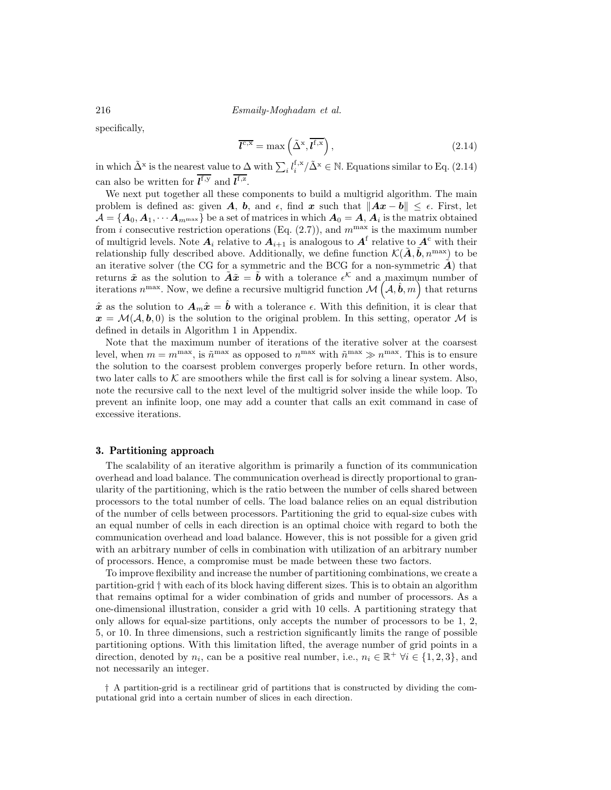216 Esmaily-Moghadam et al.

specifically,

$$
\overline{\mathbf{l}^{\mathbf{c},\mathbf{x}}} = \max\left(\tilde{\Delta}^{\mathbf{x}}, \overline{\mathbf{l}^{\mathbf{f},\mathbf{x}}}\right),\tag{2.14}
$$

in which  $\tilde{\Delta}^x$  is the nearest value to  $\Delta$  with  $\sum_i l_i^{\text{f,x}}/\tilde{\Delta}^x \in \mathbb{N}$ . Equations similar to Eq. (2.14) can also be written for  $\mathbf{l}^{\text{f},y}$  and  $\mathbf{l}^{\text{f},z}$ .

We next put together all these components to build a multigrid algorithm. The main problem is defined as: given A, b, and  $\epsilon$ , find x such that  $||Ax - b|| \leq \epsilon$ . First, let  $\mathcal{A} = \{ \bm A_0, \bm A_1, \cdots \bm A_{m^{\max}} \}$  be a set of matrices in which  $\bm A_0 = \bm A, \bm A_i$  is the matrix obtained from *i* consecutive restriction operations (Eq.  $(2.7)$ ), and  $m^{\text{max}}$  is the maximum number of multigrid levels. Note  $A_i$  relative to  $A_{i+1}$  is analogous to  $A^{\text{f}}$  relative to  $A^{\text{c}}$  with their relationship fully described above. Additionally, we define function  $\mathcal{K}(\tilde{\mathbf{A}}, \tilde{\mathbf{b}}, n^{\max})$  to be an iterative solver (the CG for a symmetric and the BCG for a non-symmetric  $\mathbf{A}$ ) that returns  $\tilde{x}$  as the solution to  $\tilde{A}\tilde{x} = \tilde{b}$  with a tolerance  $\epsilon^{\mathcal{K}}$  and a maximum number of iterations  $n^{\max}$ . Now, we define a recursive multigrid function  $\mathcal{M}(\mathcal{A}, \hat{\boldsymbol{b}}, m)$  that returns  $\hat{x}$  as the solution to  $A_m\hat{x}=\hat{b}$  with a tolerance  $\epsilon$ . With this definition, it is clear that

 $x = \mathcal{M}(\mathcal{A}, \mathbf{b}, 0)$  is the solution to the original problem. In this setting, operator M is defined in details in Algorithm 1 in Appendix.

Note that the maximum number of iterations of the iterative solver at the coarsest level, when  $m = m^{\text{max}}$ , is  $\tilde{n}^{\text{max}}$  as opposed to  $n^{\text{max}}$  with  $\tilde{n}^{\text{max}} \gg n^{\text{max}}$ . This is to ensure the solution to the coarsest problem converges properly before return. In other words, two later calls to  $K$  are smoothers while the first call is for solving a linear system. Also, note the recursive call to the next level of the multigrid solver inside the while loop. To prevent an infinite loop, one may add a counter that calls an exit command in case of excessive iterations.

#### 3. Partitioning approach

The scalability of an iterative algorithm is primarily a function of its communication overhead and load balance. The communication overhead is directly proportional to granularity of the partitioning, which is the ratio between the number of cells shared between processors to the total number of cells. The load balance relies on an equal distribution of the number of cells between processors. Partitioning the grid to equal-size cubes with an equal number of cells in each direction is an optimal choice with regard to both the communication overhead and load balance. However, this is not possible for a given grid with an arbitrary number of cells in combination with utilization of an arbitrary number of processors. Hence, a compromise must be made between these two factors.

To improve flexibility and increase the number of partitioning combinations, we create a partition-grid † with each of its block having different sizes. This is to obtain an algorithm that remains optimal for a wider combination of grids and number of processors. As a one-dimensional illustration, consider a grid with 10 cells. A partitioning strategy that only allows for equal-size partitions, only accepts the number of processors to be 1, 2, 5, or 10. In three dimensions, such a restriction significantly limits the range of possible partitioning options. With this limitation lifted, the average number of grid points in a direction, denoted by  $n_i$ , can be a positive real number, i.e.,  $n_i \in \mathbb{R}^+$   $\forall i \in \{1, 2, 3\}$ , and not necessarily an integer.

† A partition-grid is a rectilinear grid of partitions that is constructed by dividing the computational grid into a certain number of slices in each direction.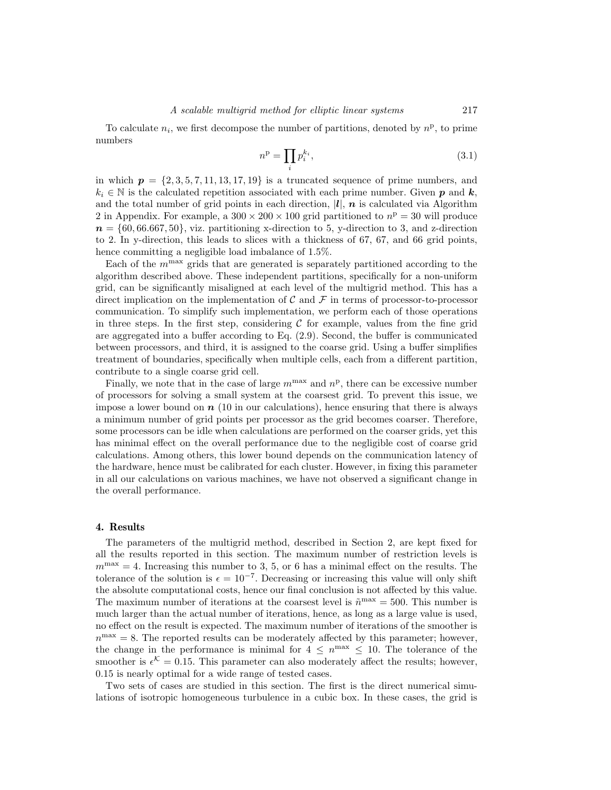To calculate  $n_i$ , we first decompose the number of partitions, denoted by  $n^p$ , to prime numbers

$$
n^{\mathbf{p}} = \prod_{i} p_i^{k_i},\tag{3.1}
$$

in which  $p = \{2, 3, 5, 7, 11, 13, 17, 19\}$  is a truncated sequence of prime numbers, and  $k_i \in \mathbb{N}$  is the calculated repetition associated with each prime number. Given p and k, and the total number of grid points in each direction,  $|l|$ ,  $n$  is calculated via Algorithm 2 in Appendix. For example, a  $300 \times 200 \times 100$  grid partitioned to  $n<sup>p</sup> = 30$  will produce  $n = \{60, 66.667, 50\}$ , viz. partitioning x-direction to 5, y-direction to 3, and z-direction to 2. In y-direction, this leads to slices with a thickness of 67, 67, and 66 grid points, hence committing a negligible load imbalance of 1.5%.

Each of the  $m^{\text{max}}$  grids that are generated is separately partitioned according to the algorithm described above. These independent partitions, specifically for a non-uniform grid, can be significantly misaligned at each level of the multigrid method. This has a direct implication on the implementation of C and F in terms of processor-to-processor communication. To simplify such implementation, we perform each of those operations in three steps. In the first step, considering  $C$  for example, values from the fine grid are aggregated into a buffer according to Eq. (2.9). Second, the buffer is communicated between processors, and third, it is assigned to the coarse grid. Using a buffer simplifies treatment of boundaries, specifically when multiple cells, each from a different partition, contribute to a single coarse grid cell.

Finally, we note that in the case of large  $m^{\max}$  and  $n^{\mathrm{p}}$ , there can be excessive number of processors for solving a small system at the coarsest grid. To prevent this issue, we impose a lower bound on  $n \n\geq 10$  in our calculations), hence ensuring that there is always a minimum number of grid points per processor as the grid becomes coarser. Therefore, some processors can be idle when calculations are performed on the coarser grids, yet this has minimal effect on the overall performance due to the negligible cost of coarse grid calculations. Among others, this lower bound depends on the communication latency of the hardware, hence must be calibrated for each cluster. However, in fixing this parameter in all our calculations on various machines, we have not observed a significant change in the overall performance.

#### 4. Results

The parameters of the multigrid method, described in Section 2, are kept fixed for all the results reported in this section. The maximum number of restriction levels is  $m^{\text{max}} = 4$ . Increasing this number to 3, 5, or 6 has a minimal effect on the results. The tolerance of the solution is  $\epsilon = 10^{-7}$ . Decreasing or increasing this value will only shift the absolute computational costs, hence our final conclusion is not affected by this value. The maximum number of iterations at the coarsest level is  $\tilde{n}^{\text{max}} = 500$ . This number is much larger than the actual number of iterations, hence, as long as a large value is used, no effect on the result is expected. The maximum number of iterations of the smoother is  $n^{\text{max}} = 8$ . The reported results can be moderately affected by this parameter; however, the change in the performance is minimal for  $4 \leq n^{\text{max}} \leq 10$ . The tolerance of the smoother is  $\epsilon^{\mathcal{K}} = 0.15$ . This parameter can also moderately affect the results; however, 0.15 is nearly optimal for a wide range of tested cases.

Two sets of cases are studied in this section. The first is the direct numerical simulations of isotropic homogeneous turbulence in a cubic box. In these cases, the grid is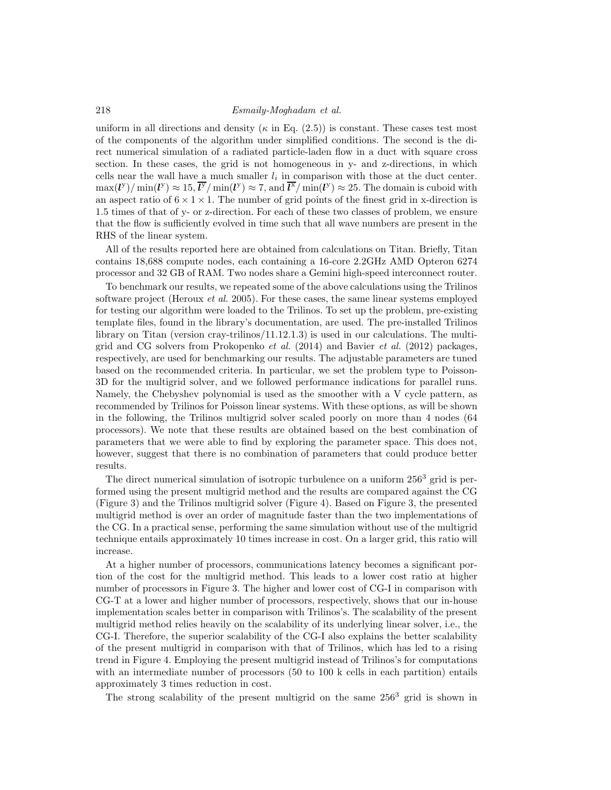uniform in all directions and density ( $\kappa$  in Eq. (2.5)) is constant. These cases test most of the components of the algorithm under simplified conditions. The second is the direct numerical simulation of a radiated particle-laden flow in a duct with square cross section. In these cases, the grid is not homogeneous in y- and z-directions, in which cells near the wall have a much smaller  $l_i$  in comparison with those at the duct center.  $\max(l^{\text{y}})/\min(l^{\text{y}}) \approx 15, \overline{l^{\text{y}}}/\min(l^{\text{y}}) \approx 7, \text{ and } \overline{l^{\text{x}}}/\min(l^{\text{y}}) \approx 25.$  The domain is cuboid with an aspect ratio of  $6 \times 1 \times 1$ . The number of grid points of the finest grid in x-direction is 1.5 times of that of y- or z-direction. For each of these two classes of problem, we ensure that the flow is sufficiently evolved in time such that all wave numbers are present in the RHS of the linear system.

All of the results reported here are obtained from calculations on Titan. Briefly, Titan contains 18,688 compute nodes, each containing a 16-core 2.2GHz AMD Opteron 6274 processor and 32 GB of RAM. Two nodes share a Gemini high-speed interconnect router.

To benchmark our results, we repeated some of the above calculations using the Trilinos software project (Heroux *et al.* 2005). For these cases, the same linear systems employed for testing our algorithm were loaded to the Trilinos. To set up the problem, pre-existing template files, found in the library's documentation, are used. The pre-installed Trilinos library on Titan (version cray-trilinos/11.12.1.3) is used in our calculations. The multigrid and CG solvers from Prokopenko *et al.* (2014) and Bavier *et al.* (2012) packages, respectively, are used for benchmarking our results. The adjustable parameters are tuned based on the recommended criteria. In particular, we set the problem type to Poisson-3D for the multigrid solver, and we followed performance indications for parallel runs. Namely, the Chebyshev polynomial is used as the smoother with a V cycle pattern, as recommended by Trilinos for Poisson linear systems. With these options, as will be shown in the following, the Trilinos multigrid solver scaled poorly on more than 4 nodes (64 processors). We note that these results are obtained based on the best combination of parameters that we were able to find by exploring the parameter space. This does not, however, suggest that there is no combination of parameters that could produce better results.

The direct numerical simulation of isotropic turbulence on a uniform  $256<sup>3</sup>$  grid is performed using the present multigrid method and the results are compared against the CG (Figure 3) and the Trilinos multigrid solver (Figure 4). Based on Figure 3, the presented multigrid method is over an order of magnitude faster than the two implementations of the CG. In a practical sense, performing the same simulation without use of the multigrid technique entails approximately 10 times increase in cost. On a larger grid, this ratio will increase.

At a higher number of processors, communications latency becomes a significant portion of the cost for the multigrid method. This leads to a lower cost ratio at higher number of processors in Figure 3. The higher and lower cost of CG-I in comparison with CG-T at a lower and higher number of processors, respectively, shows that our in-house implementation scales better in comparison with Trilinos's. The scalability of the present multigrid method relies heavily on the scalability of its underlying linear solver, i.e., the CG-I. Therefore, the superior scalability of the CG-I also explains the better scalability of the present multigrid in comparison with that of Trilinos, which has led to a rising trend in Figure 4. Employing the present multigrid instead of Trilinos's for computations with an intermediate number of processors (50 to 100 k cells in each partition) entails approximately 3 times reduction in cost.

The strong scalability of the present multigrid on the same  $256<sup>3</sup>$  grid is shown in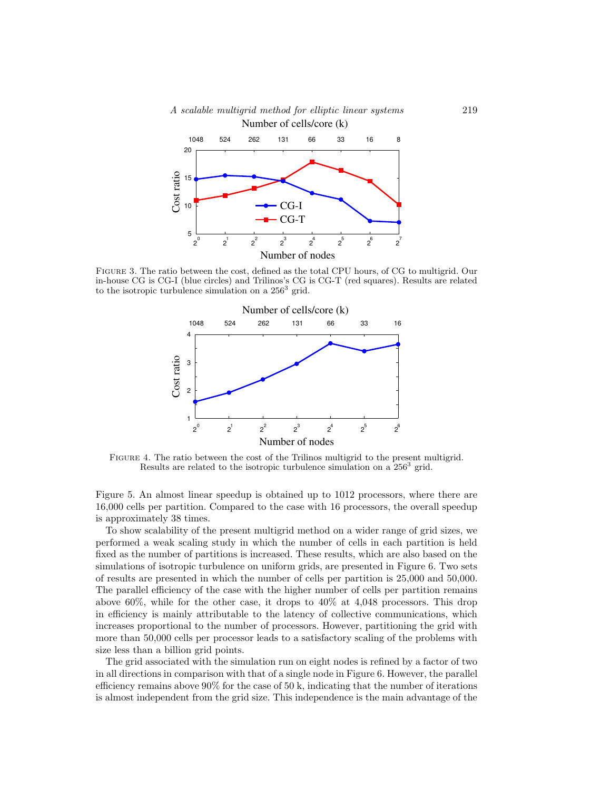



Figure 3. The ratio between the cost, defined as the total CPU hours, of CG to multigrid. Our in-house CG is CG-I (blue circles) and Trilinos's CG is CG-T (red squares). Results are related to the isotropic turbulence simulation on a 256<sup>3</sup> grid.



Figure 4. The ratio between the cost of the Trilinos multigrid to the present multigrid. Results are related to the isotropic turbulence simulation on a  $256^3$  grid.

Figure 5. An almost linear speedup is obtained up to 1012 processors, where there are 16,000 cells per partition. Compared to the case with 16 processors, the overall speedup is approximately 38 times.

To show scalability of the present multigrid method on a wider range of grid sizes, we performed a weak scaling study in which the number of cells in each partition is held fixed as the number of partitions is increased. These results, which are also based on the simulations of isotropic turbulence on uniform grids, are presented in Figure 6. Two sets of results are presented in which the number of cells per partition is 25,000 and 50,000. The parallel efficiency of the case with the higher number of cells per partition remains above 60%, while for the other case, it drops to 40% at 4,048 processors. This drop in efficiency is mainly attributable to the latency of collective communications, which increases proportional to the number of processors. However, partitioning the grid with more than 50,000 cells per processor leads to a satisfactory scaling of the problems with size less than a billion grid points.

The grid associated with the simulation run on eight nodes is refined by a factor of two in all directions in comparison with that of a single node in Figure 6. However, the parallel efficiency remains above  $90\%$  for the case of 50 k, indicating that the number of iterations is almost independent from the grid size. This independence is the main advantage of the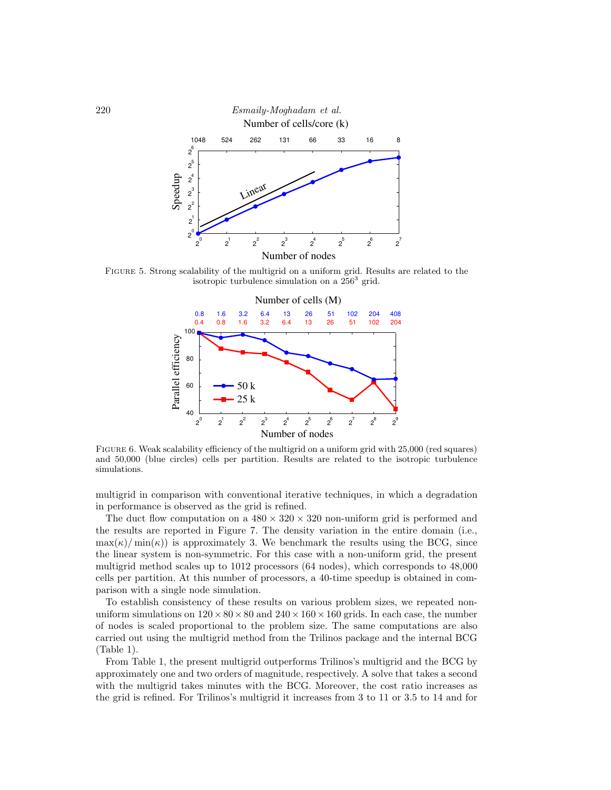

Figure 5. Strong scalability of the multigrid on a uniform grid. Results are related to the isotropic turbulence simulation on a  $256^3$  grid.



FIGURE 6. Weak scalability efficiency of the multigrid on a uniform grid with 25,000 (red squares) and 50,000 (blue circles) cells per partition. Results are related to the isotropic turbulence simulations.

multigrid in comparison with conventional iterative techniques, in which a degradation in performance is observed as the grid is refined.

The duct flow computation on a  $480 \times 320 \times 320$  non-uniform grid is performed and the results are reported in Figure 7. The density variation in the entire domain (i.e.,  $\max(\kappa)/\min(\kappa)$  is approximately 3. We benchmark the results using the BCG, since the linear system is non-symmetric. For this case with a non-uniform grid, the present multigrid method scales up to 1012 processors (64 nodes), which corresponds to 48,000 cells per partition. At this number of processors, a 40-time speedup is obtained in comparison with a single node simulation.

To establish consistency of these results on various problem sizes, we repeated nonuniform simulations on  $120 \times 80 \times 80$  and  $240 \times 160 \times 160$  grids. In each case, the number of nodes is scaled proportional to the problem size. The same computations are also carried out using the multigrid method from the Trilinos package and the internal BCG (Table 1).

From Table 1, the present multigrid outperforms Trilinos's multigrid and the BCG by approximately one and two orders of magnitude, respectively. A solve that takes a second with the multigrid takes minutes with the BCG. Moreover, the cost ratio increases as the grid is refined. For Trilinos's multigrid it increases from 3 to 11 or 3.5 to 14 and for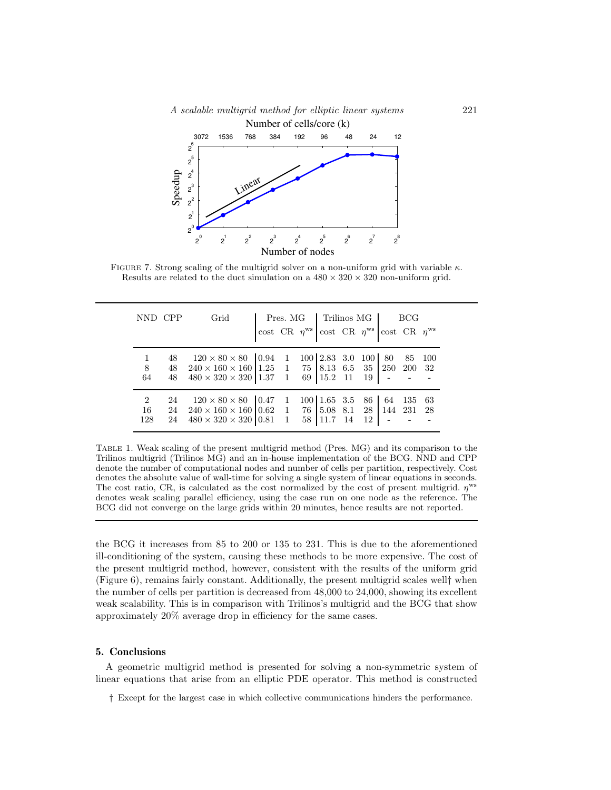



FIGURE 7. Strong scaling of the multigrid solver on a non-uniform grid with variable  $\kappa$ . Results are related to the duct simulation on a  $480 \times 320 \times 320$  non-uniform grid.

|     | NND CPP | Grid                                                         |  |  |  | $\begin{tabular}{l c c c} \hline \textbf{Pres. MG} & \textbf{Trilinos MG} & \textbf{BCG} \\ \hline \textbf{cost CR} & \eta^{\text{ws}} & \textbf{cost CR} & \eta^{\text{ws}} \\ \hline \end{tabular} \begin{tabular}{l c c c c c} \hline \textbf{PCG} & \textbf{BCG} & \textbf{w} \\ \hline \end{tabular}$ |  |    |  |  |  |
|-----|---------|--------------------------------------------------------------|--|--|--|------------------------------------------------------------------------------------------------------------------------------------------------------------------------------------------------------------------------------------------------------------------------------------------------------------|--|----|--|--|--|
|     |         |                                                              |  |  |  |                                                                                                                                                                                                                                                                                                            |  |    |  |  |  |
|     | 48      | $120 \times 80 \times 80$ 0.94 1                             |  |  |  | 100 2.83 3.0 100 80 85 100                                                                                                                                                                                                                                                                                 |  |    |  |  |  |
| 8   | 48      | $240 \times 160 \times 160$ 1.25 1 75 8.13 6.5 35 250 200 32 |  |  |  |                                                                                                                                                                                                                                                                                                            |  |    |  |  |  |
| 64  | 48      | $480 \times 320 \times 320$ 1.37 1 69 15.2 11                |  |  |  |                                                                                                                                                                                                                                                                                                            |  | 19 |  |  |  |
|     | 24      | $120 \times 80 \times 80$   0.47 1                           |  |  |  | $100 \mid 1.65 \mid 3.5 \mid 86 \mid 64 \mid 135 \mid 63$                                                                                                                                                                                                                                                  |  |    |  |  |  |
| 16  | 24      | $240 \times 160 \times 160$ 0.62 1 76 5.08 8.1 28 144 231 28 |  |  |  |                                                                                                                                                                                                                                                                                                            |  |    |  |  |  |
| 128 | 24      | $480 \times 320 \times 320$ 0.81 1                           |  |  |  | 58 11.7 14                                                                                                                                                                                                                                                                                                 |  | 12 |  |  |  |

Table 1. Weak scaling of the present multigrid method (Pres. MG) and its comparison to the Trilinos multigrid (Trilinos MG) and an in-house implementation of the BCG. NND and CPP denote the number of computational nodes and number of cells per partition, respectively. Cost denotes the absolute value of wall-time for solving a single system of linear equations in seconds. The cost ratio, CR, is calculated as the cost normalized by the cost of present multigrid.  $\eta$ <sup>ws</sup> denotes weak scaling parallel efficiency, using the case run on one node as the reference. The BCG did not converge on the large grids within 20 minutes, hence results are not reported.

the BCG it increases from 85 to 200 or 135 to 231. This is due to the aforementioned ill-conditioning of the system, causing these methods to be more expensive. The cost of the present multigrid method, however, consistent with the results of the uniform grid (Figure 6), remains fairly constant. Additionally, the present multigrid scales well† when the number of cells per partition is decreased from 48,000 to 24,000, showing its excellent weak scalability. This is in comparison with Trilinos's multigrid and the BCG that show approximately 20% average drop in efficiency for the same cases.

## 5. Conclusions

A geometric multigrid method is presented for solving a non-symmetric system of linear equations that arise from an elliptic PDE operator. This method is constructed

† Except for the largest case in which collective communications hinders the performance.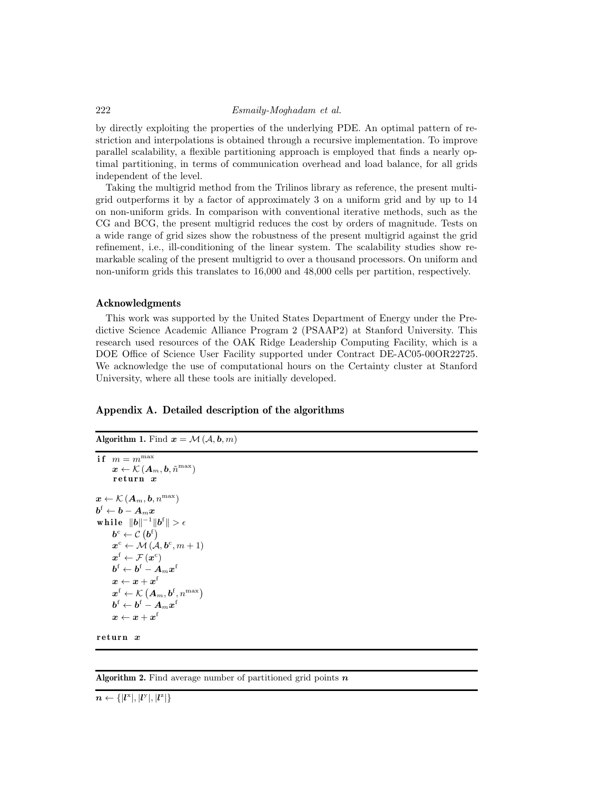## 222 Esmaily-Moghadam et al.

by directly exploiting the properties of the underlying PDE. An optimal pattern of restriction and interpolations is obtained through a recursive implementation. To improve parallel scalability, a flexible partitioning approach is employed that finds a nearly optimal partitioning, in terms of communication overhead and load balance, for all grids independent of the level.

Taking the multigrid method from the Trilinos library as reference, the present multigrid outperforms it by a factor of approximately 3 on a uniform grid and by up to 14 on non-uniform grids. In comparison with conventional iterative methods, such as the CG and BCG, the present multigrid reduces the cost by orders of magnitude. Tests on a wide range of grid sizes show the robustness of the present multigrid against the grid refinement, i.e., ill-conditioning of the linear system. The scalability studies show remarkable scaling of the present multigrid to over a thousand processors. On uniform and non-uniform grids this translates to 16,000 and 48,000 cells per partition, respectively.

#### Acknowledgments

This work was supported by the United States Department of Energy under the Predictive Science Academic Alliance Program 2 (PSAAP2) at Stanford University. This research used resources of the OAK Ridge Leadership Computing Facility, which is a DOE Office of Science User Facility supported under Contract DE-AC05-00OR22725. We acknowledge the use of computational hours on the Certainty cluster at Stanford University, where all these tools are initially developed.

# Appendix A. Detailed description of the algorithms

| <b>Algorithm 1.</b> Find $x = M(\mathcal{A}, \mathbf{b}, m)$                                                               |
|----------------------------------------------------------------------------------------------------------------------------|
| if $m = m^{\max}$                                                                                                          |
| $\boldsymbol{x} \leftarrow \mathcal{K}\left(\boldsymbol{A}_{m}, \boldsymbol{b}, \tilde{n}^{\max}\right)$                   |
| return x                                                                                                                   |
| $\boldsymbol{x} \leftarrow \mathcal{K}(\boldsymbol{A}_{m},\boldsymbol{b},n^{\max})$                                        |
| $\boldsymbol{b}^\mathrm{f} \leftarrow \boldsymbol{b} - \boldsymbol{A}_m \boldsymbol{x}$                                    |
| while $  b  ^{-1}  b^f   > \epsilon$                                                                                       |
| $\boldsymbol{b}^{\mathrm{c}} \leftarrow \mathcal{C} \left( \boldsymbol{b}^{\mathrm{f}} \right)$                            |
| $\boldsymbol{x}^{\rm c} \leftarrow \mathcal{M}\left(\mathcal{A}, \boldsymbol{b}^{\rm c}, m+1\right)$                       |
| $\boldsymbol{x}^\mathrm{f} \leftarrow \mathcal{F}\left(\boldsymbol{x}^\mathrm{c}\right)$                                   |
| $\boldsymbol{b}^\mathrm{f} \leftarrow \boldsymbol{b}^\mathrm{f} - \boldsymbol{A}_m \boldsymbol{x}^\mathrm{f}$              |
| $\boldsymbol{x} \leftarrow \boldsymbol{x} + \boldsymbol{x}^\mathrm{f}$                                                     |
| $\boldsymbol{x}^\mathrm{f} \leftarrow \mathcal{K}\left(\boldsymbol{A}_m, \boldsymbol{b}^\mathrm{f}, n^\mathrm{max}\right)$ |
| $\boldsymbol{b}^\mathrm{f} \leftarrow \boldsymbol{b}^\mathrm{f} - \boldsymbol{A}_m \boldsymbol{x}^\mathrm{f}$              |
| $\boldsymbol{x} \leftarrow \boldsymbol{x} + \boldsymbol{x}^\mathrm{f}$                                                     |
|                                                                                                                            |

 $return x$ 

Algorithm 2. Find average number of partitioned grid points  $n$ 

 $n \leftarrow \{|l^{\mathrm{x}}|, |l^{\mathrm{y}}|, |l^{\mathrm{z}}|\}$